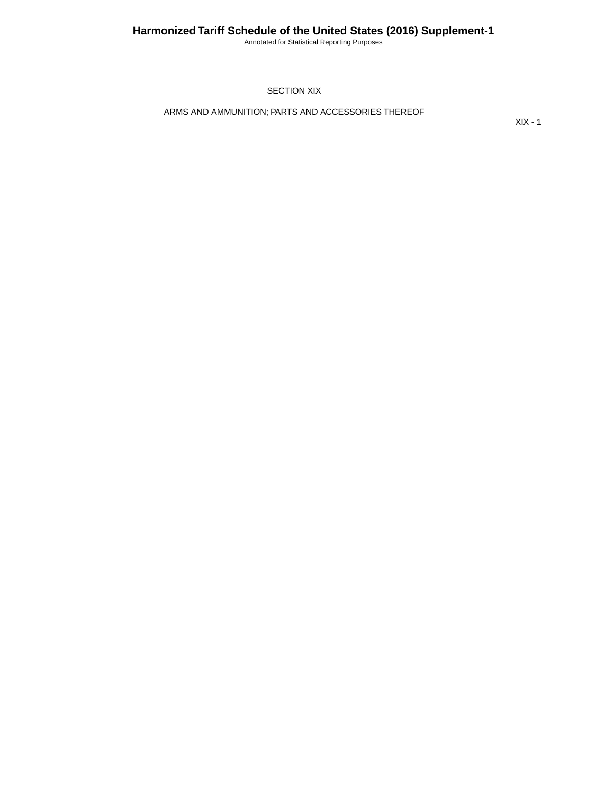Annotated for Statistical Reporting Purposes

SECTION XIX

ARMS AND AMMUNITION; PARTS AND ACCESSORIES THEREOF

XIX - 1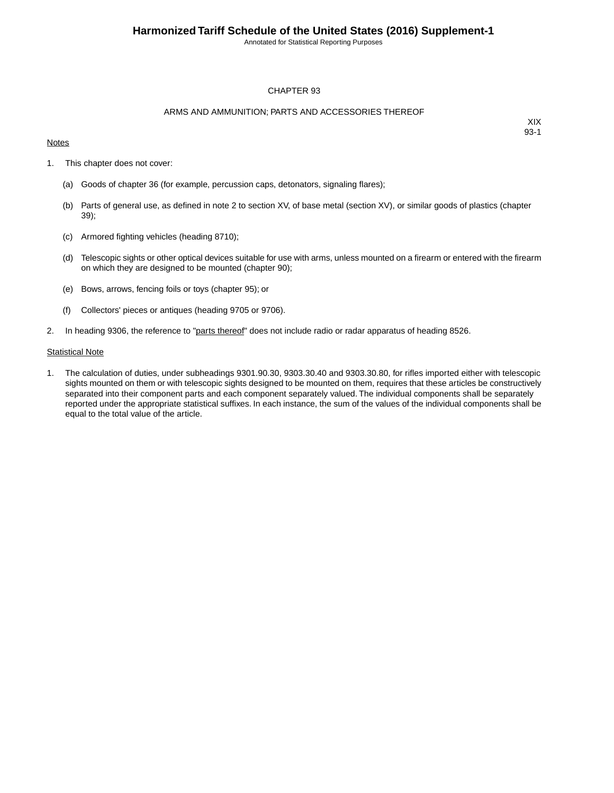Annotated for Statistical Reporting Purposes

#### CHAPTER 93

#### ARMS AND AMMUNITION; PARTS AND ACCESSORIES THEREOF

### **Notes**

XIX 93-1

- 1. This chapter does not cover:
	- (a) Goods of chapter 36 (for example, percussion caps, detonators, signaling flares);
	- (b) Parts of general use, as defined in note 2 to section XV, of base metal (section XV), or similar goods of plastics (chapter 39);
	- (c) Armored fighting vehicles (heading 8710);
	- (d) Telescopic sights or other optical devices suitable for use with arms, unless mounted on a firearm or entered with the firearm on which they are designed to be mounted (chapter 90);
	- (e) Bows, arrows, fencing foils or toys (chapter 95); or
	- (f) Collectors' pieces or antiques (heading 9705 or 9706).
- 2. In heading 9306, the reference to "parts thereof" does not include radio or radar apparatus of heading 8526.

#### **Statistical Note**

1. The calculation of duties, under subheadings 9301.90.30, 9303.30.40 and 9303.30.80, for rifles imported either with telescopic sights mounted on them or with telescopic sights designed to be mounted on them, requires that these articles be constructively separated into their component parts and each component separately valued. The individual components shall be separately reported under the appropriate statistical suffixes. In each instance, the sum of the values of the individual components shall be equal to the total value of the article.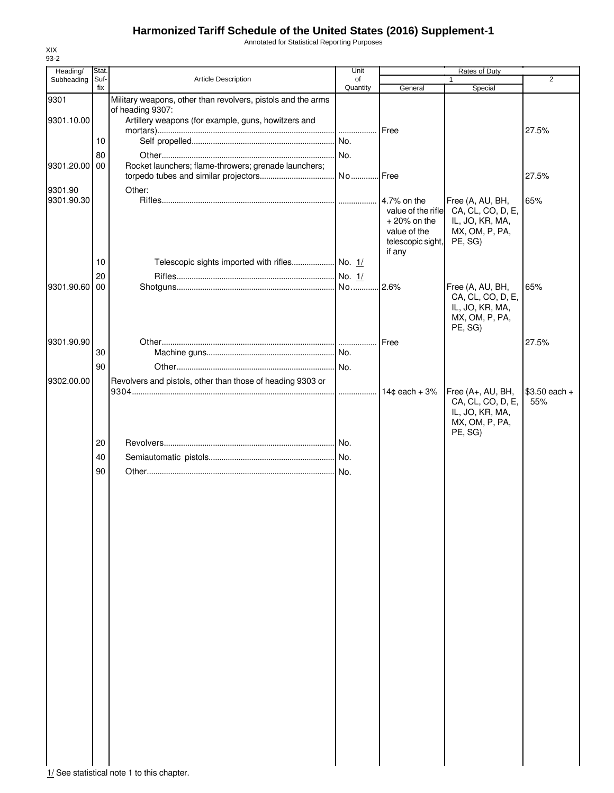Annotated for Statistical Reporting Purposes

| Heading/      | Stat. |                                                                                  | Unit     |                                   |                                       |                |
|---------------|-------|----------------------------------------------------------------------------------|----------|-----------------------------------|---------------------------------------|----------------|
| Subheading    | Suf-  | Article Description                                                              | of       |                                   | 1                                     | $\overline{2}$ |
|               | fix   |                                                                                  | Quantity | General                           | Special                               |                |
| 9301          |       | Military weapons, other than revolvers, pistols and the arms<br>of heading 9307: |          |                                   |                                       |                |
| 9301.10.00    |       | Artillery weapons (for example, guns, howitzers and                              |          |                                   |                                       |                |
|               |       |                                                                                  |          | Free                              |                                       | 27.5%          |
|               | 10    |                                                                                  | No.      |                                   |                                       |                |
|               | 80    |                                                                                  | No.      |                                   |                                       |                |
| 9301.20.00 00 |       | Rocket launchers; flame-throwers; grenade launchers;                             |          |                                   |                                       |                |
|               |       |                                                                                  |          |                                   |                                       | 27.5%          |
|               |       |                                                                                  |          |                                   |                                       |                |
| 9301.90       |       | Other:                                                                           |          |                                   |                                       |                |
| 9301.90.30    |       |                                                                                  |          | 4.7% on the<br>value of the rifle | Free (A, AU, BH,<br>CA, CL, CO, D, E, | 65%            |
|               |       |                                                                                  |          | $+20\%$ on the                    | IL, JO, KR, MA,                       |                |
|               |       |                                                                                  |          | value of the                      | MX, OM, P, PA,                        |                |
|               |       |                                                                                  |          | telescopic sight,                 | PE, SG)                               |                |
|               |       |                                                                                  |          | if any                            |                                       |                |
|               | 10    |                                                                                  |          |                                   |                                       |                |
|               | 20    |                                                                                  |          |                                   |                                       |                |
| 9301.90.60 00 |       |                                                                                  |          | 2.6%                              | Free (A, AU, BH,                      | 65%            |
|               |       |                                                                                  |          |                                   | CA, CL, CO, D, E,                     |                |
|               |       |                                                                                  |          |                                   | IL, JO, KR, MA,                       |                |
|               |       |                                                                                  |          |                                   | MX, OM, P, PA,                        |                |
|               |       |                                                                                  |          |                                   | PE, SG)                               |                |
| 9301.90.90    |       |                                                                                  |          | Free                              |                                       | 27.5%          |
|               | 30    |                                                                                  |          |                                   |                                       |                |
|               |       |                                                                                  |          |                                   |                                       |                |
|               | 90    |                                                                                  |          |                                   |                                       |                |
| 9302.00.00    |       | Revolvers and pistols, other than those of heading 9303 or                       |          |                                   |                                       |                |
|               |       |                                                                                  |          | $14¢$ each + 3%                   | Free (A+, AU, BH,                     | $$3.50$ each + |
|               |       |                                                                                  |          |                                   | CA, CL, CO, D, E,                     | 55%            |
|               |       |                                                                                  |          |                                   | IL, JO, KR, MA,                       |                |
|               |       |                                                                                  |          |                                   | MX, OM, P, PA,                        |                |
|               | 20    |                                                                                  |          |                                   | PE, SG)                               |                |
|               |       |                                                                                  |          |                                   |                                       |                |
|               | 40    |                                                                                  |          |                                   |                                       |                |
|               | 90    |                                                                                  |          |                                   |                                       |                |
|               |       |                                                                                  |          |                                   |                                       |                |
|               |       |                                                                                  |          |                                   |                                       |                |
|               |       |                                                                                  |          |                                   |                                       |                |
|               |       |                                                                                  |          |                                   |                                       |                |
|               |       |                                                                                  |          |                                   |                                       |                |
|               |       |                                                                                  |          |                                   |                                       |                |
|               |       |                                                                                  |          |                                   |                                       |                |
|               |       |                                                                                  |          |                                   |                                       |                |
|               |       |                                                                                  |          |                                   |                                       |                |
|               |       |                                                                                  |          |                                   |                                       |                |
|               |       |                                                                                  |          |                                   |                                       |                |
|               |       |                                                                                  |          |                                   |                                       |                |
|               |       |                                                                                  |          |                                   |                                       |                |
|               |       |                                                                                  |          |                                   |                                       |                |
|               |       |                                                                                  |          |                                   |                                       |                |
|               |       |                                                                                  |          |                                   |                                       |                |
|               |       |                                                                                  |          |                                   |                                       |                |
|               |       |                                                                                  |          |                                   |                                       |                |
|               |       |                                                                                  |          |                                   |                                       |                |
|               |       |                                                                                  |          |                                   |                                       |                |
|               |       |                                                                                  |          |                                   |                                       |                |
|               |       |                                                                                  |          |                                   |                                       |                |
|               |       |                                                                                  |          |                                   |                                       |                |
|               |       |                                                                                  |          |                                   |                                       |                |
|               |       |                                                                                  |          |                                   |                                       |                |
|               |       |                                                                                  |          |                                   |                                       |                |
|               |       | 1/ See statistical note 1 to this chapter.                                       |          |                                   |                                       |                |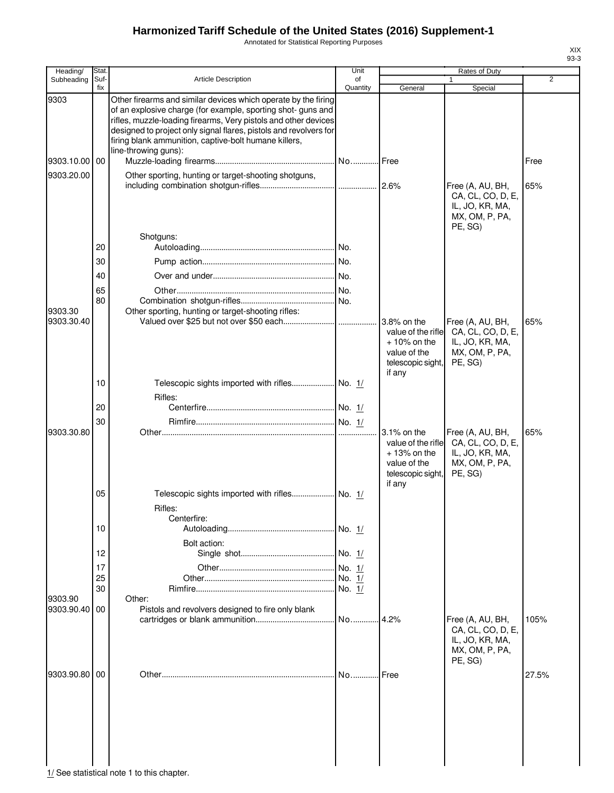Annotated for Statistical Reporting Purposes

| Heading/                 | Stat.       |                                                                                                                                                                                                                                                                                                                                                         | Unit           |                                                                                                    | Rates of Duty                                                                         |                |
|--------------------------|-------------|---------------------------------------------------------------------------------------------------------------------------------------------------------------------------------------------------------------------------------------------------------------------------------------------------------------------------------------------------------|----------------|----------------------------------------------------------------------------------------------------|---------------------------------------------------------------------------------------|----------------|
| Subheading               | Suf-<br>fix | <b>Article Description</b>                                                                                                                                                                                                                                                                                                                              | of<br>Quantity | General                                                                                            | Special                                                                               | $\overline{2}$ |
| 9303                     |             | Other firearms and similar devices which operate by the firing<br>of an explosive charge (for example, sporting shot- guns and<br>rifles, muzzle-loading firearms, Very pistols and other devices<br>designed to project only signal flares, pistols and revolvers for<br>firing blank ammunition, captive-bolt humane killers,<br>line-throwing guns): |                |                                                                                                    |                                                                                       |                |
| 9303.10.00 00            |             |                                                                                                                                                                                                                                                                                                                                                         |                |                                                                                                    |                                                                                       | Free           |
| 9303.20.00               |             | Other sporting, hunting or target-shooting shotguns,                                                                                                                                                                                                                                                                                                    |                |                                                                                                    |                                                                                       |                |
|                          |             |                                                                                                                                                                                                                                                                                                                                                         |                |                                                                                                    | Free (A, AU, BH,<br>CA, CL, CO, D, E,<br>IL, JO, KR, MA,<br>MX, OM, P, PA,<br>PE, SG) | 65%            |
|                          |             | Shotguns:                                                                                                                                                                                                                                                                                                                                               |                |                                                                                                    |                                                                                       |                |
|                          | 20          |                                                                                                                                                                                                                                                                                                                                                         |                |                                                                                                    |                                                                                       |                |
|                          | 30          |                                                                                                                                                                                                                                                                                                                                                         |                |                                                                                                    |                                                                                       |                |
|                          | 40          |                                                                                                                                                                                                                                                                                                                                                         |                |                                                                                                    |                                                                                       |                |
|                          | 65          |                                                                                                                                                                                                                                                                                                                                                         |                |                                                                                                    |                                                                                       |                |
|                          | 80          |                                                                                                                                                                                                                                                                                                                                                         |                |                                                                                                    |                                                                                       |                |
| 9303.30                  |             | Other sporting, hunting or target-shooting rifles:                                                                                                                                                                                                                                                                                                      |                |                                                                                                    |                                                                                       |                |
| 9303.30.40               |             |                                                                                                                                                                                                                                                                                                                                                         |                | 3.8% on the<br>value of the rifle<br>$+10\%$ on the<br>value of the<br>telescopic sight,<br>if any | Free (A, AU, BH,<br>CA, CL, CO, D, E,<br>IL, JO, KR, MA,<br>MX, OM, P, PA,<br>PE, SG) | 65%            |
|                          | 10          | Telescopic sights imported with rifles No. 1/                                                                                                                                                                                                                                                                                                           |                |                                                                                                    |                                                                                       |                |
|                          |             | Rifles:                                                                                                                                                                                                                                                                                                                                                 |                |                                                                                                    |                                                                                       |                |
|                          | 20          |                                                                                                                                                                                                                                                                                                                                                         |                |                                                                                                    |                                                                                       |                |
|                          | 30          |                                                                                                                                                                                                                                                                                                                                                         |                |                                                                                                    |                                                                                       |                |
| 9303.30.80               |             |                                                                                                                                                                                                                                                                                                                                                         |                | 3.1% on the<br>value of the rifle<br>$+13%$ on the<br>value of the<br>telescopic sight,<br>if any  | Free (A, AU, BH,<br>CA, CL, CO, D, E,<br>IL, JO, KR, MA,<br>MX, OM, P, PA,<br>PE, SG) | 65%            |
|                          | 05          | Telescopic sights imported with rifles No. 1/<br>Rifles:                                                                                                                                                                                                                                                                                                |                |                                                                                                    |                                                                                       |                |
|                          | 10          | Centerfire:                                                                                                                                                                                                                                                                                                                                             |                |                                                                                                    |                                                                                       |                |
|                          |             |                                                                                                                                                                                                                                                                                                                                                         |                |                                                                                                    |                                                                                       |                |
|                          | 12          | Bolt action:                                                                                                                                                                                                                                                                                                                                            |                |                                                                                                    |                                                                                       |                |
|                          |             |                                                                                                                                                                                                                                                                                                                                                         |                |                                                                                                    |                                                                                       |                |
|                          | 17<br>25    |                                                                                                                                                                                                                                                                                                                                                         |                |                                                                                                    |                                                                                       |                |
|                          | 30          |                                                                                                                                                                                                                                                                                                                                                         |                |                                                                                                    |                                                                                       |                |
| 9303.90<br>9303.90.40 00 |             | Other:<br>Pistols and revolvers designed to fire only blank                                                                                                                                                                                                                                                                                             | No             | 4.2%                                                                                               | Free (A, AU, BH,                                                                      | 105%           |
|                          |             |                                                                                                                                                                                                                                                                                                                                                         |                |                                                                                                    | CA, CL, CO, D, E,<br>IL, JO, KR, MA,<br>MX, OM, P, PA,<br>PE, SG)                     |                |
| 9303.90.80 00            |             |                                                                                                                                                                                                                                                                                                                                                         | No             | Free                                                                                               |                                                                                       | 27.5%          |
|                          |             |                                                                                                                                                                                                                                                                                                                                                         |                |                                                                                                    |                                                                                       |                |

 $\frac{1}{2}$  See statistical note 1 to this chapter.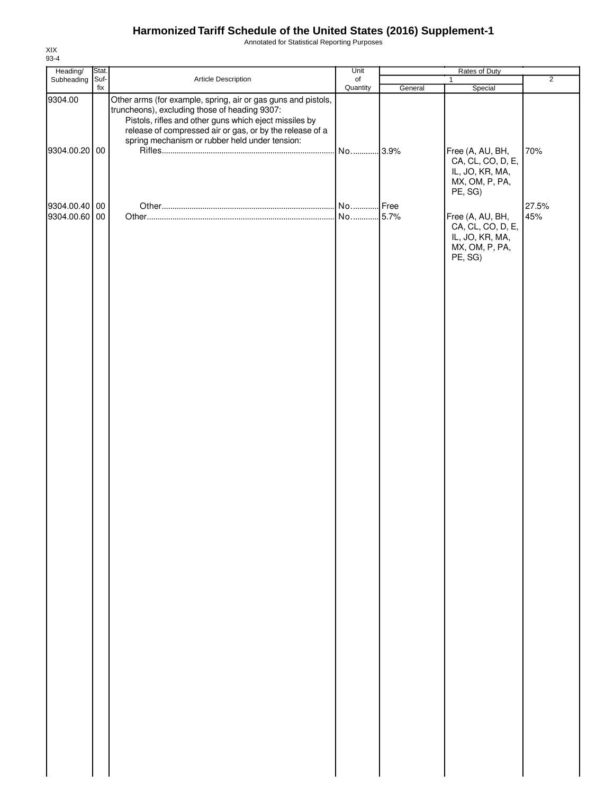Annotated for Statistical Reporting Purposes

| Heading/                       | Stat.       |                                                                                                                                                                                                                                                                                        | Unit                         |         |                                                                                       |                |
|--------------------------------|-------------|----------------------------------------------------------------------------------------------------------------------------------------------------------------------------------------------------------------------------------------------------------------------------------------|------------------------------|---------|---------------------------------------------------------------------------------------|----------------|
| Subheading                     | Suf-<br>fix | Article Description                                                                                                                                                                                                                                                                    | $_{\mathsf{of}}$<br>Quantity | General | $\mathbf{1}$<br>Special                                                               | $\overline{2}$ |
| 9304.00<br>9304.00.20 00       |             | Other arms (for example, spring, air or gas guns and pistols,<br>truncheons), excluding those of heading 9307:<br>Pistols, rifles and other guns which eject missiles by<br>release of compressed air or gas, or by the release of a<br>spring mechanism or rubber held under tension: | No                           | .3.9%   | Free (A, AU, BH,<br>CA, CL, CO, D, E,<br>IL, JO, KR, MA,<br>MX, OM, P, PA,            | 70%            |
|                                |             |                                                                                                                                                                                                                                                                                        |                              |         | PE, SG)                                                                               |                |
| 9304.00.40 00<br>9304.00.60 00 |             |                                                                                                                                                                                                                                                                                        |                              |         | Free (A, AU, BH,<br>CA, CL, CO, D, E,<br>IL, JO, KR, MA,<br>MX, OM, P, PA,<br>PE, SG) | 27.5%<br>45%   |
|                                |             |                                                                                                                                                                                                                                                                                        |                              |         |                                                                                       |                |
|                                |             |                                                                                                                                                                                                                                                                                        |                              |         |                                                                                       |                |
|                                |             |                                                                                                                                                                                                                                                                                        |                              |         |                                                                                       |                |
|                                |             |                                                                                                                                                                                                                                                                                        |                              |         |                                                                                       |                |
|                                |             |                                                                                                                                                                                                                                                                                        |                              |         |                                                                                       |                |
|                                |             |                                                                                                                                                                                                                                                                                        |                              |         |                                                                                       |                |
|                                |             |                                                                                                                                                                                                                                                                                        |                              |         |                                                                                       |                |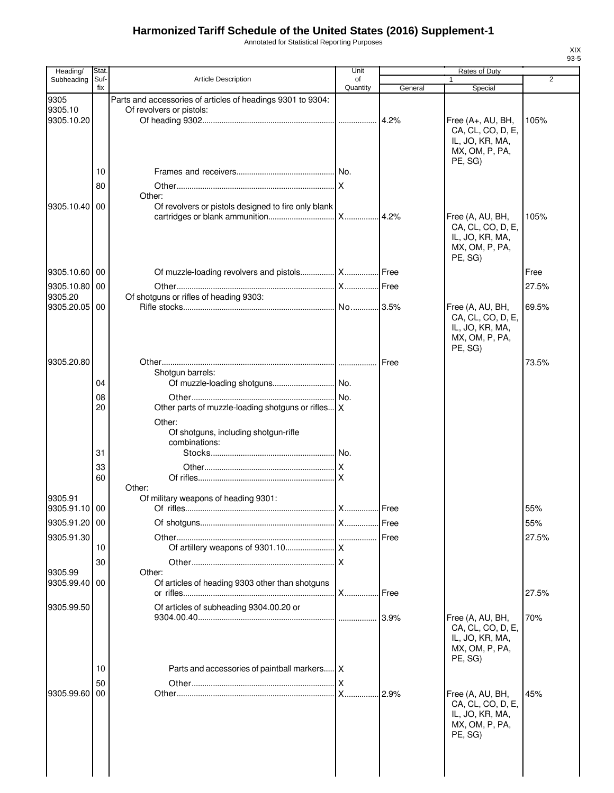Annotated for Statistical Reporting Purposes

| Heading/              | <b>Stat</b> |                                                             | Unit              |         | Rates of Duty                     |                |
|-----------------------|-------------|-------------------------------------------------------------|-------------------|---------|-----------------------------------|----------------|
| Subheading            | Suf-<br>fix | <b>Article Description</b>                                  | of<br>Quantity    | General | 1                                 | $\overline{2}$ |
| 9305                  |             | Parts and accessories of articles of headings 9301 to 9304: |                   |         | Special                           |                |
| 9305.10               |             | Of revolvers or pistols:                                    |                   |         |                                   |                |
| 9305.10.20            |             |                                                             |                   |         | Free (A+, AU, BH,                 | 105%           |
|                       |             |                                                             |                   |         | CA, CL, CO, D, E,                 |                |
|                       |             |                                                             |                   |         | IL, JO, KR, MA,                   |                |
|                       |             |                                                             |                   |         | MX, OM, P, PA,<br>PE, SG)         |                |
|                       | 10          |                                                             |                   |         |                                   |                |
|                       | 80          |                                                             |                   |         |                                   |                |
|                       |             | Other:                                                      |                   |         |                                   |                |
| 9305.10.40 00         |             | Of revolvers or pistols designed to fire only blank         |                   |         |                                   |                |
|                       |             |                                                             |                   |         | Free (A, AU, BH,                  | 105%           |
|                       |             |                                                             |                   |         | CA, CL, CO, D, E,                 |                |
|                       |             |                                                             |                   |         | IL, JO, KR, MA,<br>MX, OM, P, PA, |                |
|                       |             |                                                             |                   |         | PE, SG)                           |                |
| 9305.10.60            | 00          |                                                             |                   |         |                                   | Free           |
|                       |             |                                                             |                   |         |                                   |                |
| 9305.10.80            | 00          |                                                             |                   |         |                                   | 27.5%          |
| 9305.20<br>9305.20.05 | 00          | Of shotguns or rifles of heading 9303:                      |                   |         | Free (A, AU, BH,                  | 69.5%          |
|                       |             |                                                             |                   |         | CA, CL, CO, D, E,                 |                |
|                       |             |                                                             |                   |         | IL, JO, KR, MA,                   |                |
|                       |             |                                                             |                   |         | MX, OM, P, PA,                    |                |
|                       |             |                                                             |                   |         | PE, SG)                           |                |
| 9305.20.80            |             |                                                             |                   | Free    |                                   | 73.5%          |
|                       | 04          | Shotgun barrels:                                            |                   |         |                                   |                |
|                       |             |                                                             |                   |         |                                   |                |
|                       | 08<br>20    | Other parts of muzzle-loading shotguns or rifles X          |                   |         |                                   |                |
|                       |             |                                                             |                   |         |                                   |                |
|                       |             | Other:<br>Of shotguns, including shotgun-rifle              |                   |         |                                   |                |
|                       |             | combinations:                                               |                   |         |                                   |                |
|                       | 31          |                                                             |                   |         |                                   |                |
|                       | 33          |                                                             |                   |         |                                   |                |
|                       | 60          |                                                             |                   |         |                                   |                |
|                       |             | Other:                                                      |                   |         |                                   |                |
| 9305.91               |             | Of military weapons of heading 9301:                        |                   |         |                                   |                |
| 9305.91.10 00         |             |                                                             |                   | Free    |                                   | 55%            |
| 9305.91.20 00         |             |                                                             |                   | Free    |                                   | 55%            |
| 9305.91.30            |             |                                                             |                   | Free    |                                   | 27.5%          |
|                       | 10          |                                                             |                   |         |                                   |                |
|                       | 30          |                                                             |                   |         |                                   |                |
| 9305.99               |             | Other:                                                      |                   |         |                                   |                |
| 9305.99.40            | 00          | Of articles of heading 9303 other than shotguns             | <b>X</b>          | Free    |                                   | 27.5%          |
|                       |             | Of articles of subheading 9304.00.20 or                     |                   |         |                                   |                |
| 9305.99.50            |             |                                                             |                   | 3.9%    | Free (A, AU, BH,                  | 70%            |
|                       |             |                                                             |                   |         | CA, CL, CO, D, E,                 |                |
|                       |             |                                                             |                   |         | IL, JO, KR, MA,                   |                |
|                       |             |                                                             |                   |         | MX, OM, P, PA,                    |                |
|                       | 10          |                                                             |                   |         | PE, SG)                           |                |
|                       |             | Parts and accessories of paintball markers   X              |                   |         |                                   |                |
| 9305.99.60            | 50<br>00    |                                                             | ΙX<br>$X_{\cdot}$ | 2.9%    | Free (A, AU, BH,                  | 45%            |
|                       |             |                                                             |                   |         | CA, CL, CO, D, E,                 |                |
|                       |             |                                                             |                   |         | IL, JO, KR, MA,                   |                |
|                       |             |                                                             |                   |         | MX, OM, P, PA,                    |                |
|                       |             |                                                             |                   |         | PE, SG)                           |                |
|                       |             |                                                             |                   |         |                                   |                |
|                       |             |                                                             |                   |         |                                   |                |
|                       |             |                                                             |                   |         |                                   |                |